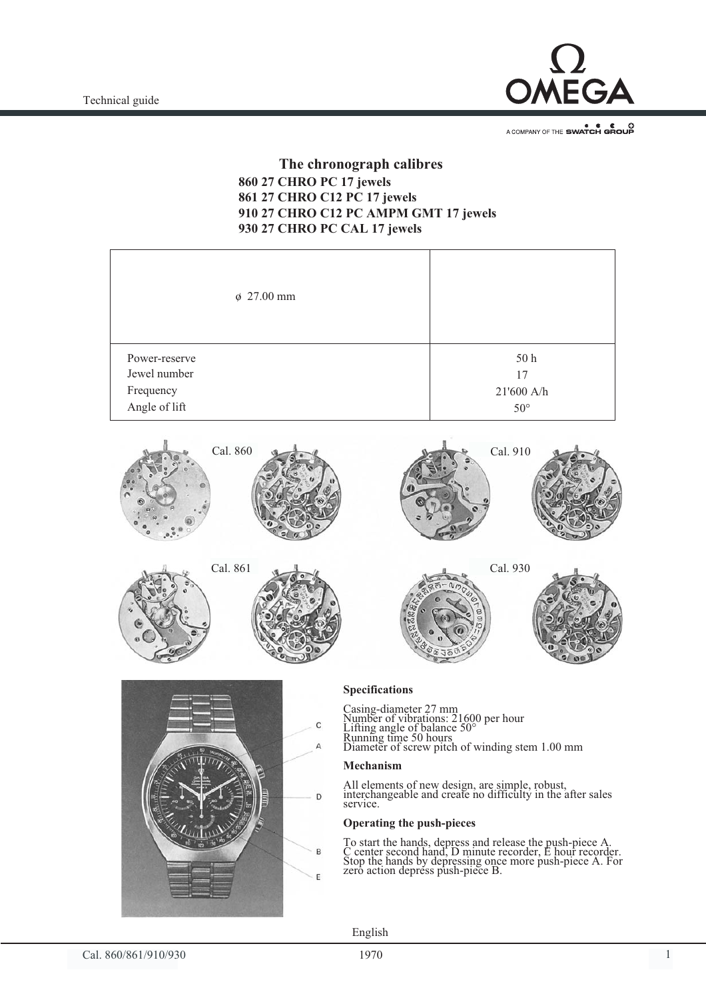Technical guide



A COMPANY OF THE SWATCH GROUP

## **The chronograph calibres**<br>860 27 CHRO PC 17 jewels 861 27 CHRO C12 PC 17 jewels **910 27 CHRO C12 PC AMPM GMT 17 jewels 930 27 CHRO PC CAL 17 jewels 930 27 CHRO PC CAL 17 jewels**

| $\phi$ 27.00 mm |              |
|-----------------|--------------|
| Power-reserve   | 50 h         |
| Jewel number    | 17           |
| Frequency       | 21'600 A/h   |
| Angle of lift   | $50^{\circ}$ |





**Specifications** Casing-diameter 27 mm Number of vibrations: 21600 per hour Lifting angle of balance 50° Running time 50 hours

Diameter of screw pitch of winding stem 1.00 mm

# **Mechanism**

All elements of new design, are simple, robust, interchangeable and create no difficulty in the after sales service.

**Operating the push-pieces** To start the hands, depress and release the push-piece A. C center second hand, D minute recorder, E hour recorder. Stop the hands by depressing once more push-piece A. For zero action depress push-piece B.

English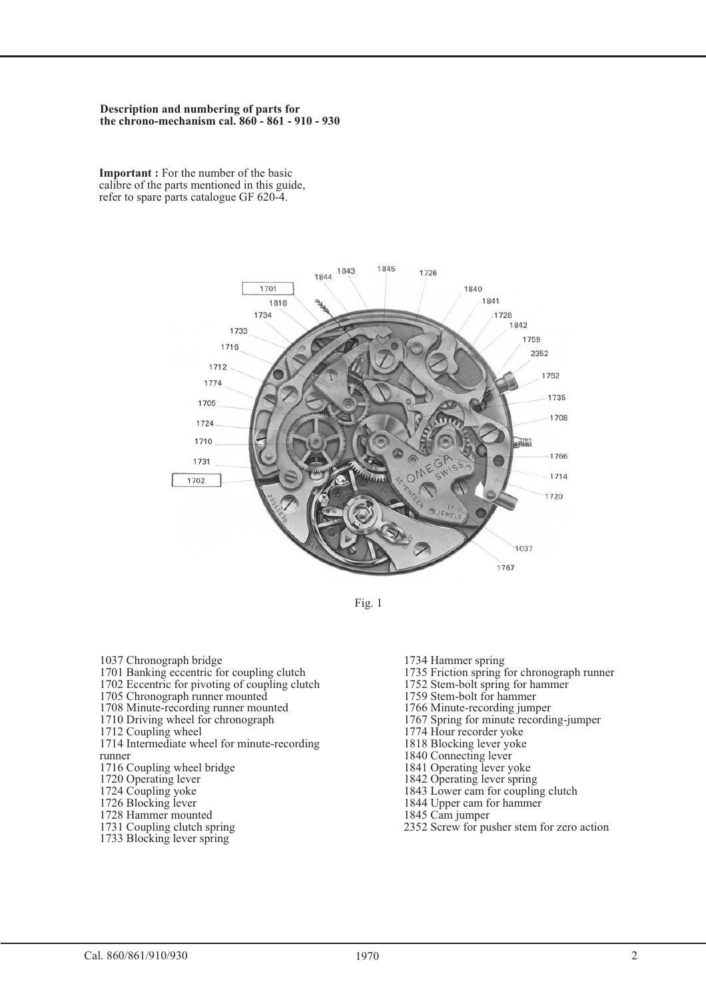#### **Description and numbering of parts for the chrono-mechanism cal. 860 - 861 - 910 - 930**

**Important :** For the number of the basic calibre of the parts mentioned in this guide, refer to spare parts catalogue GF 620-4.



Fig. 1

- 1037 Chronograph bridge
- 1701 Banking eccentric for coupling clutch
- 1702 Eccentric for pivoting of coupling clutch
- 1705 Chronograph runner mounted
- 1708 Minute-recording runner mounted
- 1710 Driving wheel for chronograph
- 1712 Coupling wheel
- 1714 Intermediate wheel for minute-recording runner
- 1716 Coupling wheel bridge
- 1720 Operating lever
- 1724 Coupling yoke
- 1726 Blocking lever
- 1728 Hammer mounted
- 1731 Coupling clutch spring
- 1733 Blocking lever spring
- 1734 Hammer spring 1735 Friction spring for chronograph runner 1752 Stem-bolt spring for hammer 1759 Stem-bolt for hammer 1766 Minute-recording jumper 1767 Spring for minute recording-jumper 1774 Hour recorder yoke 1818 Blocking lever yoke 1840 Connecting lever 1841 Operating lever yoke 1842 Operating lever spring
- 1843 Lower cam for coupling clutch
- 1844 Upper cam for hammer
- 1845 Cam jumper
- 2352 Screw for pusher stem for zero action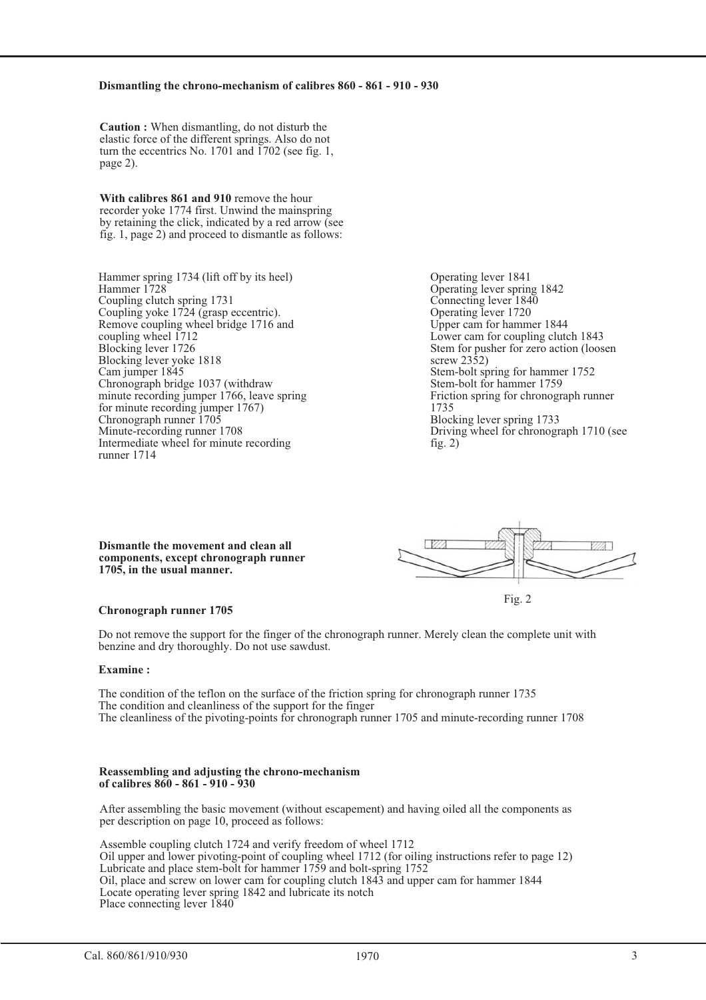#### **Dismantling the chrono-mechanism of calibres 860 - 861 - 910 - 930**

**Caution :** When dismantling, do not disturb the elastic force of the different springs. Also do not turn the eccentrics No. 1701 and 1702 (see fig. 1, page 2).

**With calibres 861 and 910** remove the hour recorder yoke 1774 first. Unwind the mainspring by retaining the click, indicated by a red arrow (see fig. 1, page 2) and proceed to dismantle as follows:

Hammer spring 1734 (lift off by its heel) Hammer 1728 Coupling clutch spring 1731 Coupling yoke 1724 (grasp eccentric). Remove coupling wheel bridge 1716 and coupling wheel 1712 Blocking lever 1726 Blocking lever yoke 1818 Cam jumper 1845 Chronograph bridge 1037 (withdraw minute recording jumper 1766, leave spring for minute recording jumper 1767) Chronograph runner 1705 Minute-recording runner 1708 Intermediate wheel for minute recording runner 1714

Operating lever 1841 Operating lever spring 1842 Connecting lever 1840 Operating lever 1720 Upper cam for hammer 1844 Lower cam for coupling clutch 1843 Stem for pusher for zero action (loosen screw 2352) Stem-bolt spring for hammer 1752 Stem-bolt for hammer 1759 Friction spring for chronograph runner 1735 Blocking lever spring 1733 Driving wheel for chronograph 1710 (see fig.  $2)$ 

**Dismantle the movement and clean all components, except chronograph runner 1705, in the usual manner.**



#### **Chronograph runner 1705**

Do not remove the support for the finger of the chronograph runner. Merely clean the complete unit with benzine and dry thoroughly. Do not use sawdust.

#### **Examine :**

The condition of the teflon on the surface of the friction spring for chronograph runner 1735 The condition and cleanliness of the support for the finger The cleanliness of the pivoting-points for chronograph runner 1705 and minute-recording runner 1708

#### **Reassembling and adjusting the chrono-mechanism of calibres 860 - 861 - 910 - 930**

After assembling the basic movement (without escapement) and having oiled all the components as per description on page 10, proceed as follows:

Assemble coupling clutch 1724 and verify freedom of wheel 1712 Oil upper and lower pivoting-point of coupling wheel 1712 (for oiling instructions refer to page 12) Lubricate and place stem-bolt for hammer 1759 and bolt-spring 1752 Oil, place and screw on lower cam for coupling clutch 1843 and upper cam for hammer 1844 Locate operating lever spring 1842 and lubricate its notch Place connecting lever 1840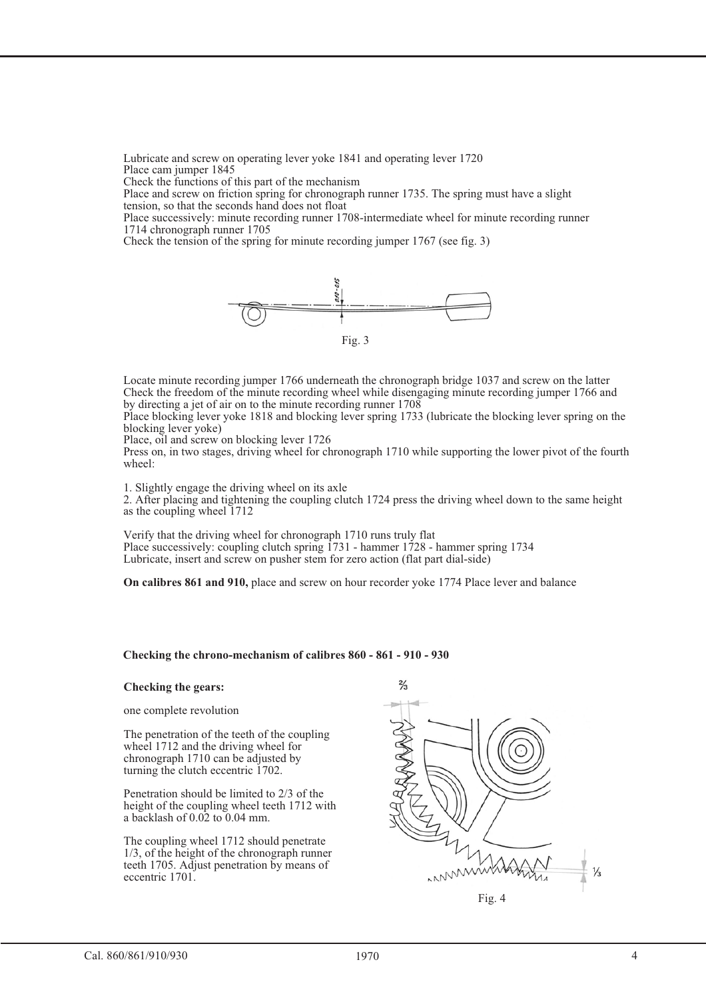Lubricate and screw on operating lever yoke 1841 and operating lever 1720 Place cam jumper 1845

Check the functions of this part of the mechanism

Place and screw on friction spring for chronograph runner 1735. The spring must have a slight tension, so that the seconds hand does not float

Place successively: minute recording runner 1708-intermediate wheel for minute recording runner 1714 chronograph runner 1705

Check the tension of the spring for minute recording jumper 1767 (see fig. 3)



Locate minute recording jumper 1766 underneath the chronograph bridge 1037 and screw on the latter Check the freedom of the minute recording wheel while disengaging minute recording jumper 1766 and by directing a jet of air on to the minute recording runner 1708

Place blocking lever yoke 1818 and blocking lever spring 1733 (lubricate the blocking lever spring on the blocking lever yoke)

Place, oil and screw on blocking lever 1726

Press on, in two stages, driving wheel for chronograph 1710 while supporting the lower pivot of the fourth wheel:

1. Slightly engage the driving wheel on its axle

2. After placing and tightening the coupling clutch 1724 press the driving wheel down to the same height as the coupling wheel 1712

Verify that the driving wheel for chronograph 1710 runs truly flat Place successively: coupling clutch spring 1731 - hammer 1728 - hammer spring 1734 Lubricate, insert and screw on pusher stem for zero action (flat part dial-side)

**On calibres 861 and 910,** place and screw on hour recorder yoke 1774 Place lever and balance

#### **Checking the chrono-mechanism of calibres 860 - 861 - 910 - 930**

#### **Checking the gears:**

one complete revolution

The penetration of the teeth of the coupling wheel 1712 and the driving wheel for chronograph 1710 can be adjusted by turning the clutch eccentric 1702.

Penetration should be limited to 2/3 of the height of the coupling wheel teeth 1712 with a backlash of  $0.02$  to  $0.04$  mm.

The coupling wheel 1712 should penetrate 1/3, of the height of the chronograph runner teeth 1705. Adjust penetration by means of eccentric 1701.

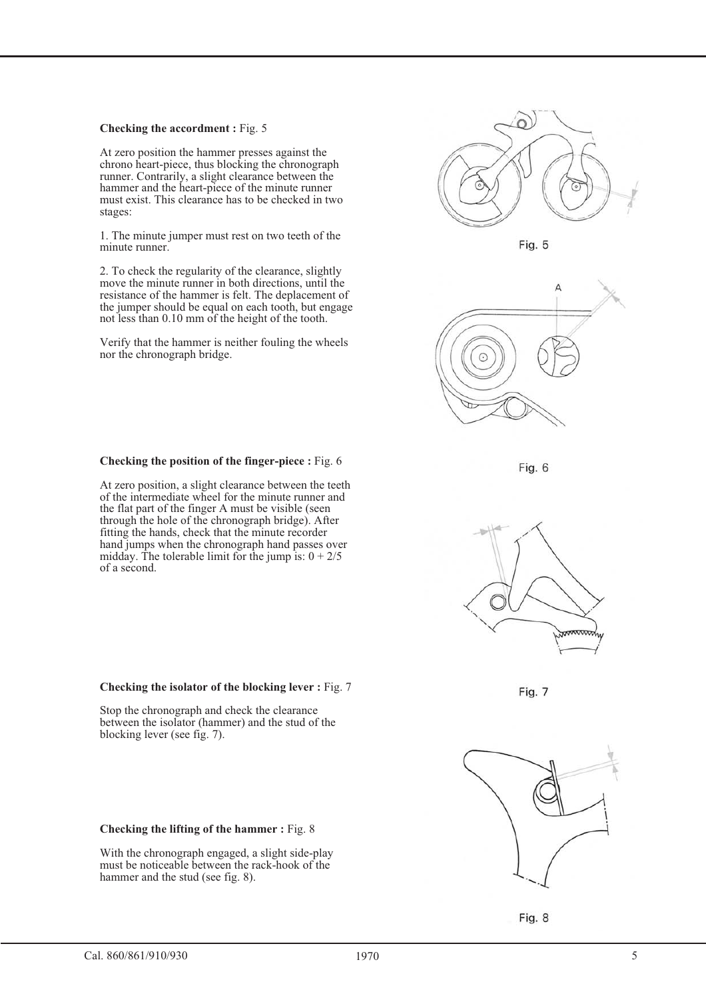#### **Checking the accordment :** Fig. 5

At zero position the hammer presses against the chrono heart-piece, thus blocking the chronograph runner. Contrarily, a slight clearance between the hammer and the heart-piece of the minute runner must exist. This clearance has to be checked in two stages:

1. The minute jumper must rest on two teeth of the minute runner.

2. To check the regularity of the clearance, slightly move the minute runner in both directions, until the resistance of the hammer is felt. The deplacement of the jumper should be equal on each tooth, but engage not less than 0.10 mm of the height of the tooth.

Verify that the hammer is neither fouling the wheels nor the chronograph bridge.



At zero position, a slight clearance between the teeth of the intermediate wheel for the minute runner and the flat part of the finger A must be visible (seen through the hole of the chronograph bridge). After fitting the hands, check that the minute recorder hand jumps when the chronograph hand passes over midday. The tolerable limit for the jump is:  $0 + 2/5$ of a second.



Stop the chronograph and check the clearance between the isolator (hammer) and the stud of the blocking lever (see fig. 7).

#### **Checking the lifting of the hammer :** Fig. 8

With the chronograph engaged, a slight side-play must be noticeable between the rack-hook of the hammer and the stud (see fig. 8).



Fig. 5







Fig. 7



Fig. 8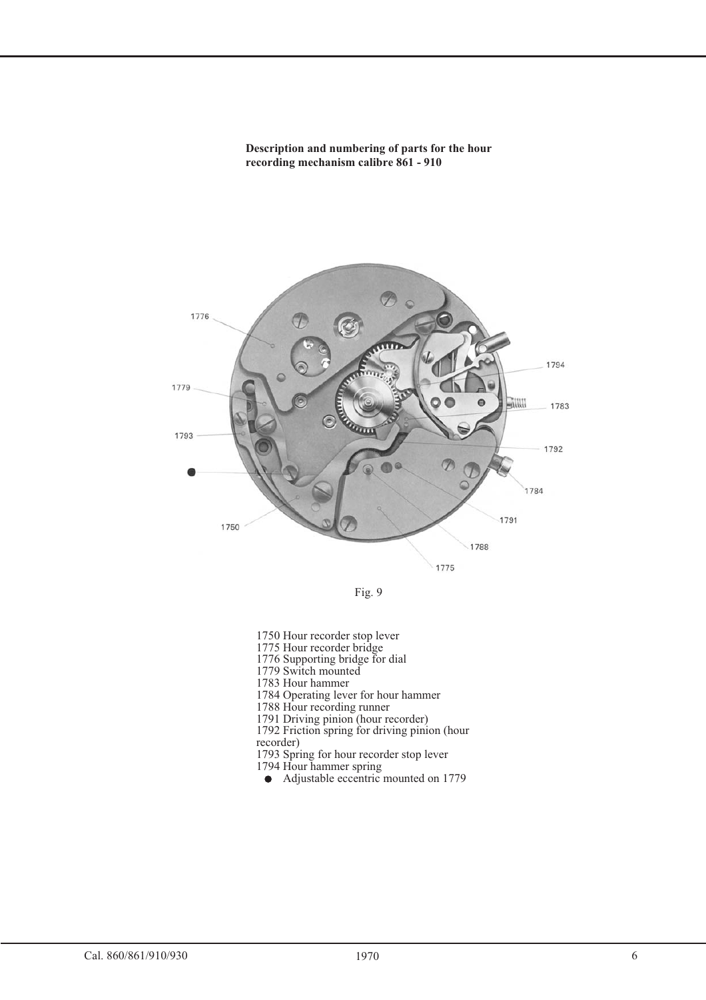**Description and numbering of parts for the hour recording mechanism calibre 861 - 910**





1750 Hour recorder stop lever

1775 Hour recorder bridge

1776 Supporting bridge for dial

1779 Switch mounted

1783 Hour hammer

1784 Operating lever for hour hammer

1788 Hour recording runner

1791 Driving pinion (hour recorder)

1792 Friction spring for driving pinion (hour recorder)

1793 Spring for hour recorder stop lever

1794 Hour hammer spring

• Adjustable eccentric mounted on 1779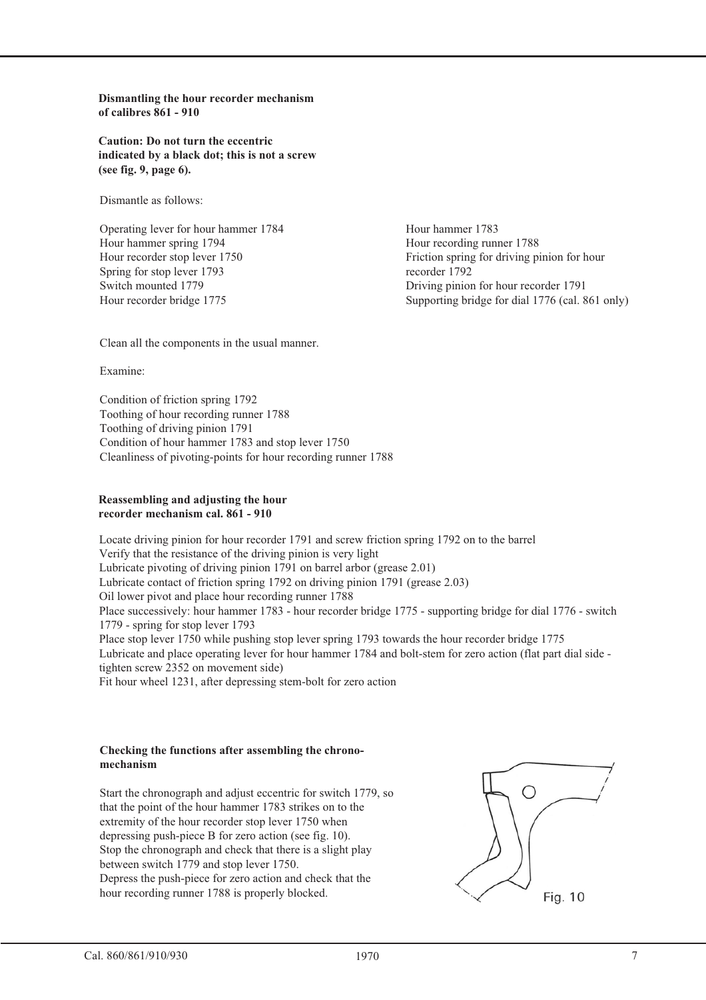**Dismantling the hour recorder mechanism of calibres 861 - 910**

**Caution: Do not turn the eccentric indicated by a black dot; this is not a screw (see fig. 9, page 6).**

Dismantle as follows:

Operating lever for hour hammer 1784 Hour hammer spring 1794 Hour recorder stop lever 1750 Spring for stop lever 1793 Switch mounted 1779 Hour recorder bridge 1775

Hour hammer 1783 Hour recording runner 1788 Friction spring for driving pinion for hour recorder 1792 Driving pinion for hour recorder 1791 Supporting bridge for dial 1776 (cal. 861 only)

Clean all the components in the usual manner.

Examine:

Condition of friction spring 1792 Toothing of hour recording runner 1788 Toothing of driving pinion 1791 Condition of hour hammer 1783 and stop lever 1750 Cleanliness of pivoting-points for hour recording runner 1788

#### **Reassembling and adjusting the hour recorder mechanism cal. 861 - 910**

Locate driving pinion for hour recorder 1791 and screw friction spring 1792 on to the barrel Verify that the resistance of the driving pinion is very light Lubricate pivoting of driving pinion 1791 on barrel arbor (grease 2.01) Lubricate contact of friction spring 1792 on driving pinion 1791 (grease 2.03) Oil lower pivot and place hour recording runner 1788 Place successively: hour hammer 1783 - hour recorder bridge 1775 - supporting bridge for dial 1776 - switch 1779 - spring for stop lever 1793 Place stop lever 1750 while pushing stop lever spring 1793 towards the hour recorder bridge 1775 Lubricate and place operating lever for hour hammer 1784 and bolt-stem for zero action (flat part dial side tighten screw 2352 on movement side) Fit hour wheel 1231, after depressing stem-bolt for zero action

#### **Checking the functions after assembling the chronomechanism**

Start the chronograph and adjust eccentric for switch 1779, so that the point of the hour hammer 1783 strikes on to the extremity of the hour recorder stop lever 1750 when depressing push-piece B for zero action (see fig. 10). Stop the chronograph and check that there is a slight play between switch 1779 and stop lever 1750. Depress the push-piece for zero action and check that the hour recording runner 1788 is properly blocked.

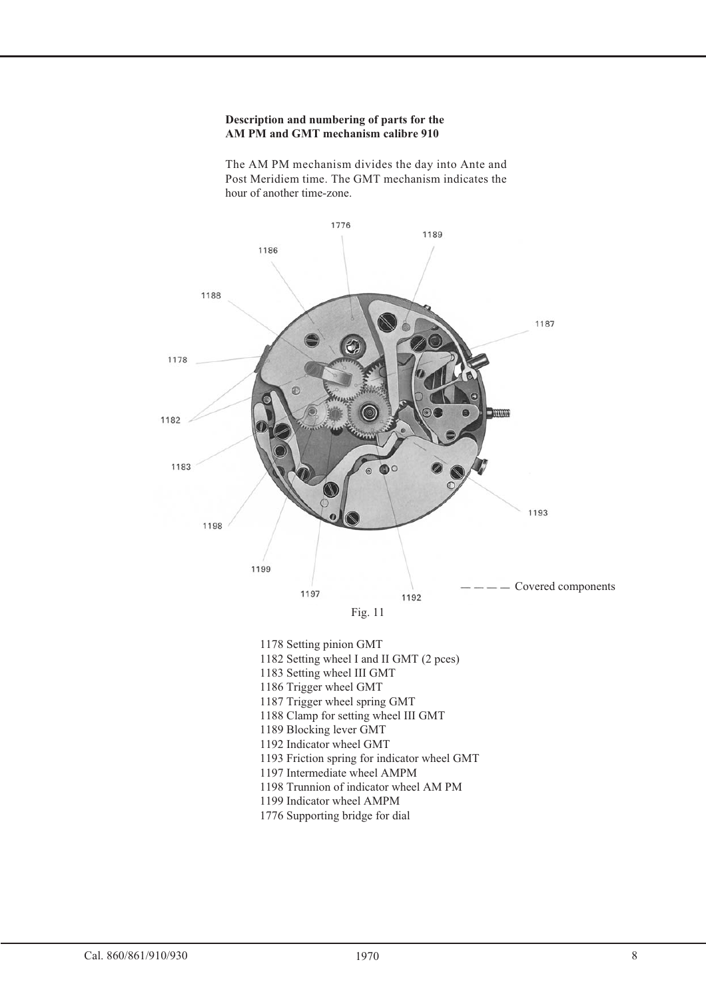#### **Description and numbering of parts for the AM PM and GMT mechanism calibre 910**

The AM PM mechanism divides the day into Ante and Post Meridiem time. The GMT mechanism indicates the hour of another time-zone.



1776 Supporting bridge for dial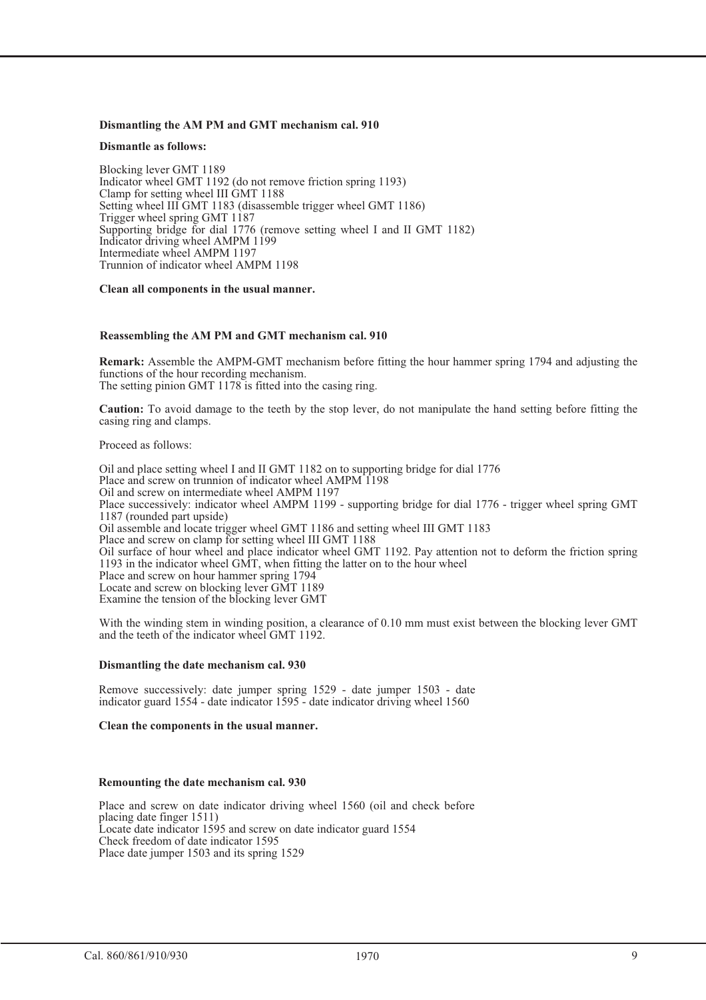#### **Dismantling the AM PM and GMT mechanism cal. 910**

#### **Dismantle as follows:**

Blocking lever GMT 1189 Indicator wheel GMT 1192 (do not remove friction spring 1193) Clamp for setting wheel III GMT 1188 Setting wheel III GMT 1183 (disassemble trigger wheel GMT 1186) Trigger wheel spring GMT 1187 Supporting bridge for dial 1776 (remove setting wheel I and II GMT 1182) Indicator driving wheel AMPM 1199 Intermediate wheel AMPM 1197 Trunnion of indicator wheel AMPM 1198

#### **Clean all components in the usual manner.**

#### **Reassembling the AM PM and GMT mechanism cal. 910**

**Remark:** Assemble the AMPM-GMT mechanism before fitting the hour hammer spring 1794 and adjusting the functions of the hour recording mechanism. The setting pinion GMT 1178 is fitted into the casing ring.

**Caution:** To avoid damage to the teeth by the stop lever, do not manipulate the hand setting before fitting the casing ring and clamps.

Proceed as follows:

Oil and place setting wheel I and II GMT 1182 on to supporting bridge for dial 1776 Place and screw on trunnion of indicator wheel AMPM 1198 Oil and screw on intermediate wheel AMPM 1197 Place successively: indicator wheel AMPM 1199 - supporting bridge for dial 1776 - trigger wheel spring GMT 1187 (rounded part upside) Oil assemble and locate trigger wheel GMT 1186 and setting wheel III GMT 1183 Place and screw on clamp for setting wheel III GMT 1188 Oil surface of hour wheel and place indicator wheel GMT 1192. Pay attention not to deform the friction spring 1193 in the indicator wheel GMT, when fitting the latter on to the hour wheel Place and screw on hour hammer spring 1794 Locate and screw on blocking lever GMT 1189 Examine the tension of the blocking lever GMT

With the winding stem in winding position, a clearance of 0.10 mm must exist between the blocking lever GMT and the teeth of the indicator wheel GMT 1192.

#### **Dismantling the date mechanism cal. 930**

Remove successively: date jumper spring 1529 - date jumper 1503 - date indicator guard 1554 - date indicator 1595 - date indicator driving wheel 1560

#### **Clean the components in the usual manner.**

#### **Remounting the date mechanism cal. 930**

Place and screw on date indicator driving wheel 1560 (oil and check before placing date finger 1511) Locate date indicator 1595 and screw on date indicator guard 1554 Check freedom of date indicator 1595 Place date jumper 1503 and its spring 1529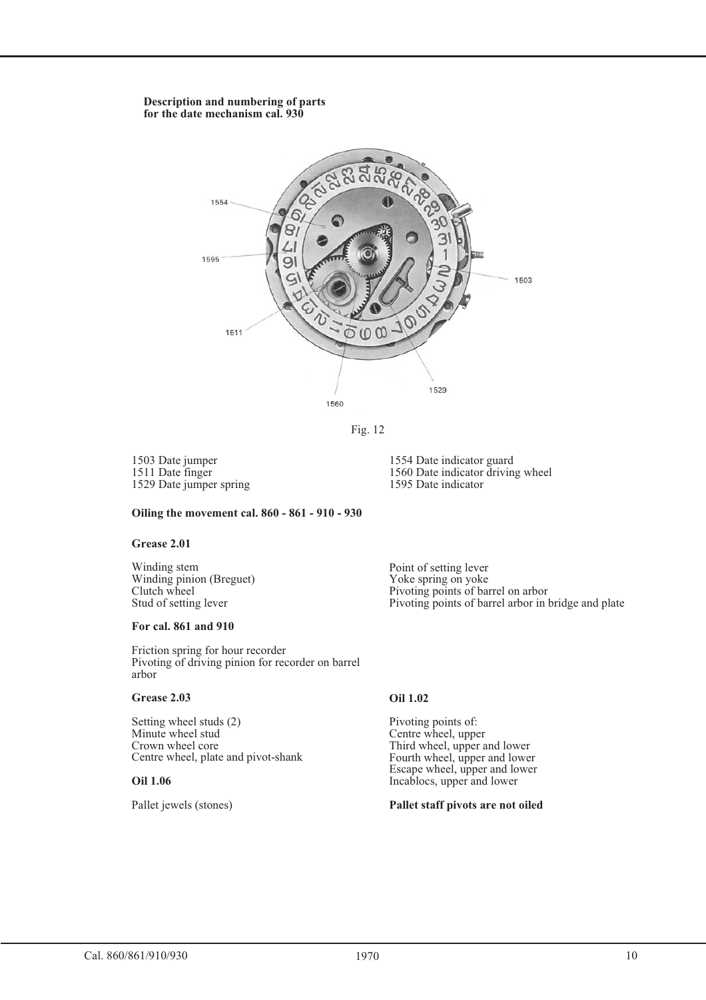#### **Description and numbering of parts for the date mechanism cal. 930**



Fig. 12

1503 Date jumper 1511 Date finger 1529 Date jumper spring

1554 Date indicator guard 1560 Date indicator driving wheel 1595 Date indicator

#### **Oiling the movement cal. 860 - 861 - 910 - 930**

#### **Grease 2.01**

Winding stem Winding pinion (Breguet) Clutch wheel Stud of setting lever

#### **For cal. 861 and 910**

Friction spring for hour recorder Pivoting of driving pinion for recorder on barrel arbor

#### **Grease 2.03**

Setting wheel studs (2) Minute wheel stud Crown wheel core Centre wheel, plate and pivot-shank

#### **Oil 1.06**

Pallet jewels (stones)

Point of setting lever Yoke spring on yoke Pivoting points of barrel on arbor Pivoting points of barrel arbor in bridge and plate

### **Oil 1.02**

Pivoting points of: Centre wheel, upper Third wheel, upper and lower Fourth wheel, upper and lower Escape wheel, upper and lower Incablocs, upper and lower

#### **Pallet staff pivots are not oiled**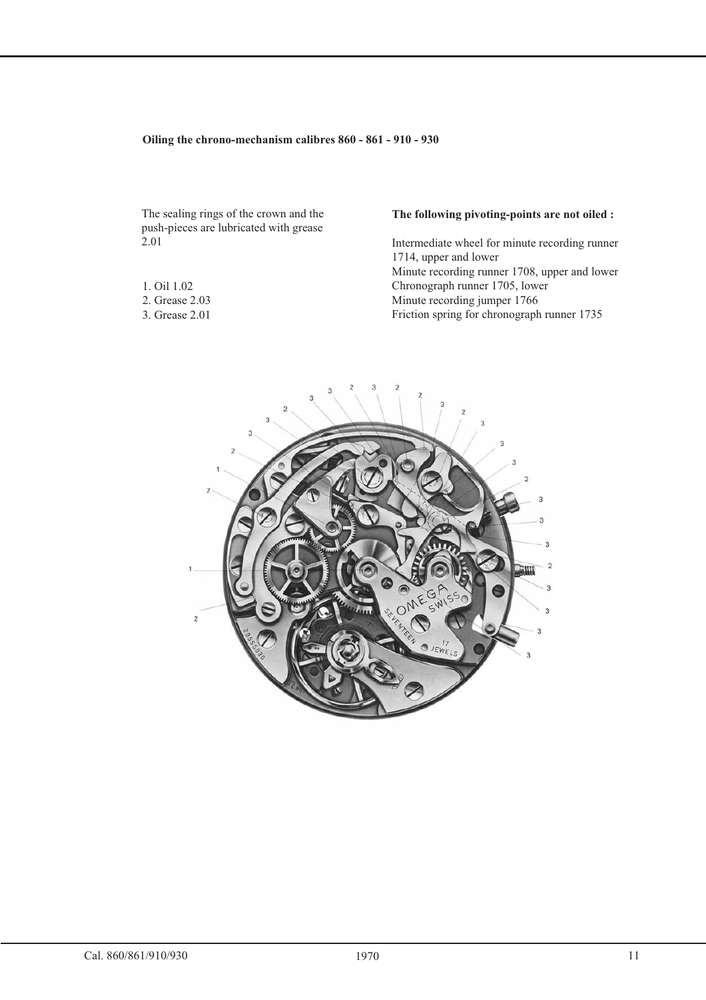#### **Oiling the chrono-mechanism calibres 860 - 861 - 910 - 930**

The sealing rings of the crown and the push-pieces are lubricated with grease 2.01

- 1. Oil 1.02
- 2. Grease 2.03
- 3. Grease 2.01

### **The following pivoting-points are not oiled :**

Intermediate wheel for minute recording runner 1714, upper and lower Minute recording runner 1708, upper and lower Chronograph runner 1705, lower Minute recording jumper 1766 Friction spring for chronograph runner 1735